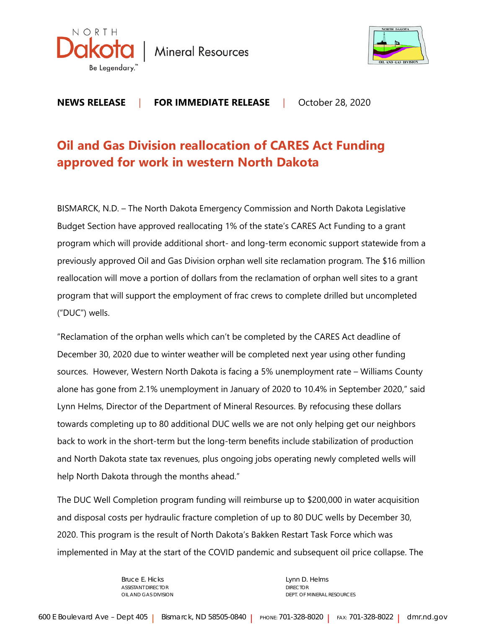

**Mineral Resources** 



**NEWS RELEASE** | **FOR IMMEDIATE RELEASE** |October 28, 2020

## **Oil and Gas Division reallocation of CARES Act Funding approved for work in western North Dakota**

BISMARCK, N.D. – The North Dakota Emergency Commission and North Dakota Legislative Budget Section have approved reallocating 1% of the state's CARES Act Funding to a grant program which will provide additional short- and long-term economic support statewide from a previously approved Oil and Gas Division orphan well site reclamation program. The \$16 million reallocation will move a portion of dollars from the reclamation of orphan well sites to a grant program that will support the employment of frac crews to complete drilled but uncompleted ("DUC") wells.

"Reclamation of the orphan wells which can't be completed by the CARES Act deadline of December 30, 2020 due to winter weather will be completed next year using other funding sources. However, Western North Dakota is facing a 5% unemployment rate – Williams County alone has gone from 2.1% unemployment in January of 2020 to 10.4% in September 2020," said Lynn Helms, Director of the Department of Mineral Resources. By refocusing these dollars towards completing up to 80 additional DUC wells we are not only helping get our neighbors back to work in the short-term but the long-term benefits include stabilization of production and North Dakota state tax revenues, plus ongoing jobs operating newly completed wells will help North Dakota through the months ahead."

The DUC Well Completion program funding will reimburse up to \$200,000 in water acquisition and disposal costs per hydraulic fracture completion of up to 80 DUC wells by December 30, 2020. This program is the result of North Dakota's Bakken Restart Task Force which was implemented in May at the start of the COVID pandemic and subsequent oil price collapse. The

ASSISTANT DIRECTOR **DIRECTOR** DIRECTOR

Bruce E. Hicks **Lynn D. Helms** OIL AND GAS DIVISION **DEPT.** OF MINERAL RESOURCES